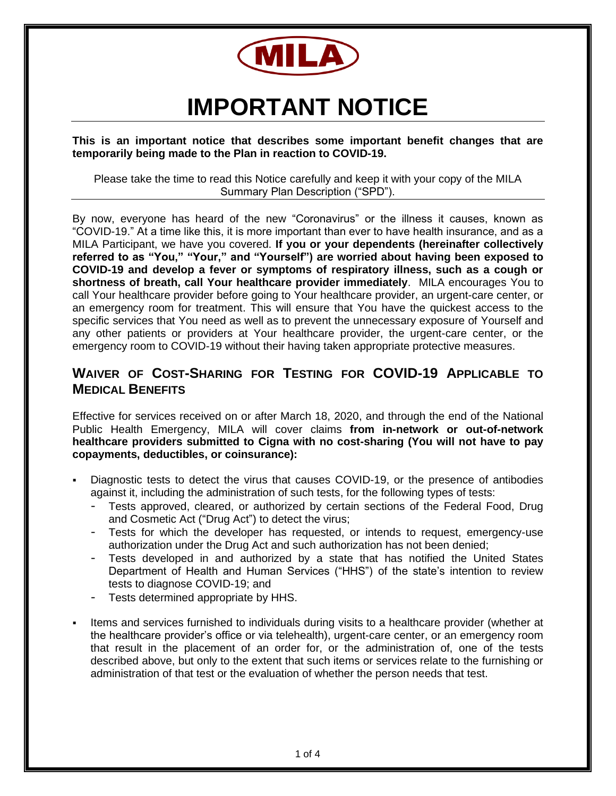

# **IMPORTANT NOTICE**

**This is an important notice that describes some important benefit changes that are temporarily being made to the Plan in reaction to COVID-19.** 

Please take the time to read this Notice carefully and keep it with your copy of the MILA Summary Plan Description ("SPD").

By now, everyone has heard of the new "Coronavirus" or the illness it causes, known as "COVID-19." At a time like this, it is more important than ever to have health insurance, and as a MILA Participant, we have you covered. **If you or your dependents (hereinafter collectively referred to as "You," "Your," and "Yourself") are worried about having been exposed to COVID-19 and develop a fever or symptoms of respiratory illness, such as a cough or shortness of breath, call Your healthcare provider immediately**. MILA encourages You to call Your healthcare provider before going to Your healthcare provider, an urgent-care center, or an emergency room for treatment. This will ensure that You have the quickest access to the specific services that You need as well as to prevent the unnecessary exposure of Yourself and any other patients or providers at Your healthcare provider, the urgent-care center, or the emergency room to COVID-19 without their having taken appropriate protective measures.

# **WAIVER OF COST-SHARING FOR TESTING FOR COVID-19 APPLICABLE TO MEDICAL BENEFITS**

Effective for services received on or after March 18, 2020, and through the end of the National Public Health Emergency, MILA will cover claims **from in-network or out-of-network healthcare providers submitted to Cigna with no cost-sharing (You will not have to pay copayments, deductibles, or coinsurance):**

- Diagnostic tests to detect the virus that causes COVID-19, or the presence of antibodies against it, including the administration of such tests, for the following types of tests:
	- Tests approved, cleared, or authorized by certain sections of the Federal Food, Drug and Cosmetic Act ("Drug Act") to detect the virus;
	- Tests for which the developer has requested, or intends to request, emergency-use authorization under the Drug Act and such authorization has not been denied;
	- Tests developed in and authorized by a state that has notified the United States Department of Health and Human Services ("HHS") of the state's intention to review tests to diagnose COVID-19; and
	- Tests determined appropriate by HHS.
- Items and services furnished to individuals during visits to a healthcare provider (whether at the healthcare provider's office or via telehealth), urgent-care center, or an emergency room that result in the placement of an order for, or the administration of, one of the tests described above, but only to the extent that such items or services relate to the furnishing or administration of that test or the evaluation of whether the person needs that test.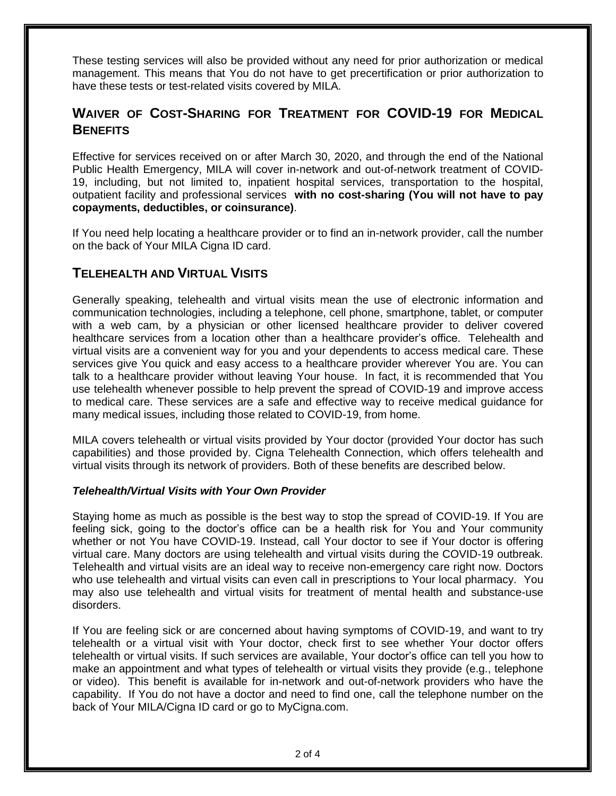These testing services will also be provided without any need for prior authorization or medical management. This means that You do not have to get precertification or prior authorization to have these tests or test-related visits covered by MILA.

# **WAIVER OF COST-SHARING FOR TREATMENT FOR COVID-19 FOR MEDICAL BENEFITS**

Effective for services received on or after March 30, 2020, and through the end of the National Public Health Emergency, MILA will cover in-network and out-of-network treatment of COVID-19, including, but not limited to, inpatient hospital services, transportation to the hospital, outpatient facility and professional services **with no cost-sharing (You will not have to pay copayments, deductibles, or coinsurance)**.

If You need help locating a healthcare provider or to find an in-network provider, call the number on the back of Your MILA Cigna ID card.

# **TELEHEALTH AND VIRTUAL VISITS**

Generally speaking, telehealth and virtual visits mean the use of electronic information and communication technologies, including a telephone, cell phone, smartphone, tablet, or computer with a web cam, by a physician or other licensed healthcare provider to deliver covered healthcare services from a location other than a healthcare provider's office. Telehealth and virtual visits are a convenient way for you and your dependents to access medical care. These services give You quick and easy access to a healthcare provider wherever You are. You can talk to a healthcare provider without leaving Your house. In fact, it is recommended that You use telehealth whenever possible to help prevent the spread of COVID-19 and improve access to medical care. These services are a safe and effective way to receive medical guidance for many medical issues, including those related to COVID-19, from home.

MILA covers telehealth or virtual visits provided by Your doctor (provided Your doctor has such capabilities) and those provided by. Cigna Telehealth Connection, which offers telehealth and virtual visits through its network of providers. Both of these benefits are described below.

#### *Telehealth/Virtual Visits with Your Own Provider*

Staying home as much as possible is the best way to stop the spread of COVID-19. If You are feeling sick, going to the doctor's office can be a health risk for You and Your community whether or not You have COVID-19. Instead, call Your doctor to see if Your doctor is offering virtual care. Many doctors are using telehealth and virtual visits during the COVID-19 outbreak. Telehealth and virtual visits are an ideal way to receive non-emergency care right now. Doctors who use telehealth and virtual visits can even call in prescriptions to Your local pharmacy. You may also use telehealth and virtual visits for treatment of mental health and substance-use disorders.

If You are feeling sick or are concerned about having symptoms of COVID-19, and want to try telehealth or a virtual visit with Your doctor, check first to see whether Your doctor offers telehealth or virtual visits. If such services are available, Your doctor's office can tell you how to make an appointment and what types of telehealth or virtual visits they provide (e.g., telephone or video). This benefit is available for in-network and out-of-network providers who have the capability. If You do not have a doctor and need to find one, call the telephone number on the back of Your MILA/Cigna ID card or go to MyCigna.com.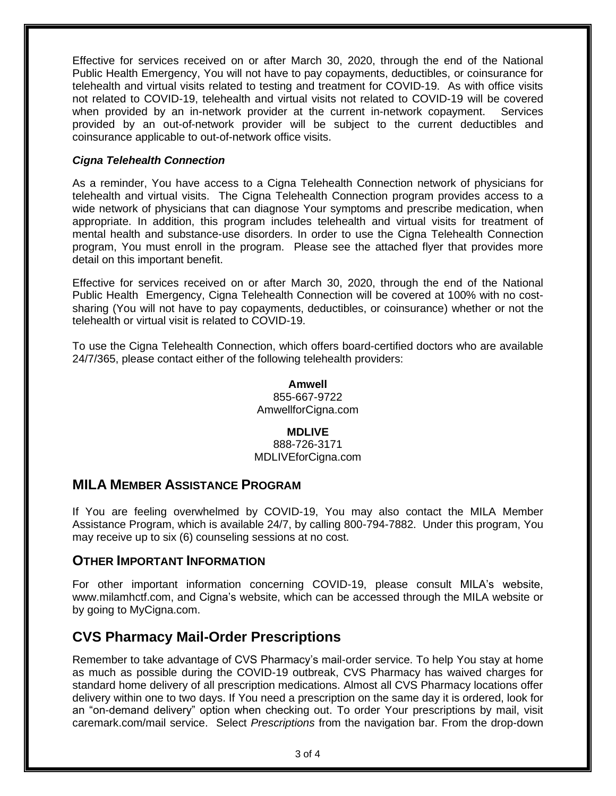Effective for services received on or after March 30, 2020, through the end of the National Public Health Emergency, You will not have to pay copayments, deductibles, or coinsurance for telehealth and virtual visits related to testing and treatment for COVID-19. As with office visits not related to COVID-19, telehealth and virtual visits not related to COVID-19 will be covered when provided by an in-network provider at the current in-network copayment. Services provided by an out-of-network provider will be subject to the current deductibles and coinsurance applicable to out-of-network office visits.

## *Cigna Telehealth Connection*

As a reminder, You have access to a Cigna Telehealth Connection network of physicians for telehealth and virtual visits. The Cigna Telehealth Connection program provides access to a wide network of physicians that can diagnose Your symptoms and prescribe medication, when appropriate. In addition, this program includes telehealth and virtual visits for treatment of mental health and substance-use disorders. In order to use the Cigna Telehealth Connection program, You must enroll in the program. Please see the attached flyer that provides more detail on this important benefit.

Effective for services received on or after March 30, 2020, through the end of the National Public Health Emergency, Cigna Telehealth Connection will be covered at 100% with no costsharing (You will not have to pay copayments, deductibles, or coinsurance) whether or not the telehealth or virtual visit is related to COVID-19.

To use the Cigna Telehealth Connection, which offers board-certified doctors who are available 24/7/365, please contact either of the following telehealth providers:

> **Amwell** 855-667-9722 AmwellforCigna.com

## **MDLIVE**

888-726-3171 MDLIVEforCigna.com

## **MILA MEMBER ASSISTANCE PROGRAM**

If You are feeling overwhelmed by COVID-19, You may also contact the MILA Member Assistance Program, which is available 24/7, by calling 800-794-7882. Under this program, You may receive up to six (6) counseling sessions at no cost.

## **OTHER IMPORTANT INFORMATION**

For other important information concerning COVID-19, please consult MILA's website, www.milamhctf.com, and Cigna's website, which can be accessed through the MILA website or by going to MyCigna.com.

# **CVS Pharmacy Mail-Order Prescriptions**

Remember to take advantage of CVS Pharmacy's mail-order service. To help You stay at home as much as possible during the COVID-19 outbreak, CVS Pharmacy has waived charges for standard home delivery of all prescription medications. Almost all CVS Pharmacy locations offer delivery within one to two days. If You need a prescription on the same day it is ordered, look for an "on-demand delivery" option when checking out. To order Your prescriptions by mail, visit caremark.com/mail service. Select *Prescriptions* from the navigation bar. From the drop-down